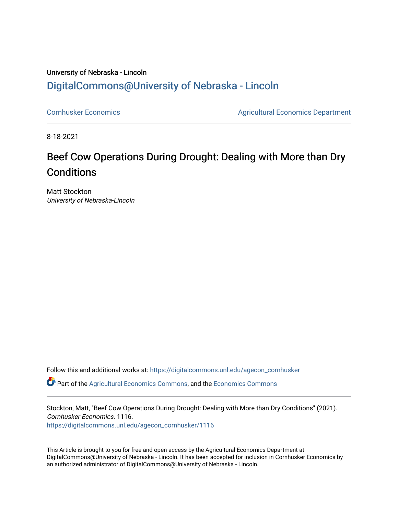## University of Nebraska - Lincoln [DigitalCommons@University of Nebraska - Lincoln](https://digitalcommons.unl.edu/)

[Cornhusker Economics](https://digitalcommons.unl.edu/agecon_cornhusker) **Agricultural Economics** Department

8-18-2021

## Beef Cow Operations During Drought: Dealing with More than Dry **Conditions**

Matt Stockton University of Nebraska-Lincoln

Follow this and additional works at: [https://digitalcommons.unl.edu/agecon\\_cornhusker](https://digitalcommons.unl.edu/agecon_cornhusker?utm_source=digitalcommons.unl.edu%2Fagecon_cornhusker%2F1116&utm_medium=PDF&utm_campaign=PDFCoverPages)  Part of the [Agricultural Economics Commons,](http://network.bepress.com/hgg/discipline/1225?utm_source=digitalcommons.unl.edu%2Fagecon_cornhusker%2F1116&utm_medium=PDF&utm_campaign=PDFCoverPages) and the [Economics Commons](http://network.bepress.com/hgg/discipline/340?utm_source=digitalcommons.unl.edu%2Fagecon_cornhusker%2F1116&utm_medium=PDF&utm_campaign=PDFCoverPages) 

Stockton, Matt, "Beef Cow Operations During Drought: Dealing with More than Dry Conditions" (2021). Cornhusker Economics. 1116. [https://digitalcommons.unl.edu/agecon\\_cornhusker/1116](https://digitalcommons.unl.edu/agecon_cornhusker/1116?utm_source=digitalcommons.unl.edu%2Fagecon_cornhusker%2F1116&utm_medium=PDF&utm_campaign=PDFCoverPages)

This Article is brought to you for free and open access by the Agricultural Economics Department at DigitalCommons@University of Nebraska - Lincoln. It has been accepted for inclusion in Cornhusker Economics by an authorized administrator of DigitalCommons@University of Nebraska - Lincoln.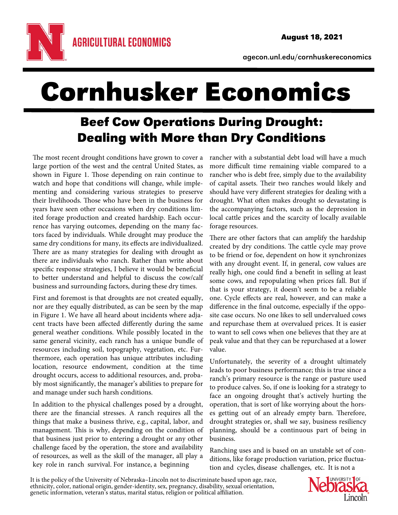

agecon.unl.edu/cornhuskereconomics

## Cornhusker Economics

## Beef Cow Operations During Drought: Dealing with More than Dry Conditions

The most recent drought conditions have grown to cover a large portion of the west and the central United States, as shown in Figure 1. Those depending on rain continue to watch and hope that conditions will change, while implementing and considering various strategies to preserve their livelihoods. Those who have been in the business for years have seen other occasions when dry conditions limited forage production and created hardship. Each occurrence has varying outcomes, depending on the many factors faced by individuals. While drought may produce the same dry conditions for many, its effects are individualized. There are as many strategies for dealing with drought as there are individuals who ranch. Rather than write about specific response strategies, I believe it would be beneficial to better understand and helpful to discuss the cow/calf business and surrounding factors, during these dry times.

First and foremost is that droughts are not created equally, nor are they equally distributed, as can be seen by the map in Figure 1. We have all heard about incidents where adjacent tracts have been affected differently during the same general weather conditions. While possibly located in the same general vicinity, each ranch has a unique bundle of resources including soil, topography, vegetation, etc. Furthermore, each operation has unique attributes including location, resource endowment, condition at the time drought occurs, access to additional resources, and, probably most significantly, the manager's abilities to prepare for and manage under such harsh conditions.

In addition to the physical challenges posed by a drought, there are the financial stresses. A ranch requires all the things that make a business thrive, e.g., capital, labor, and management. This is why, depending on the condition of that business just prior to entering a drought or any other challenge faced by the operation, the store and availability of resources, as well as the skill of the manager, all play a key role in ranch survival. For instance, a beginning

rancher with a substantial debt load will have a much more difficult time remaining viable compared to a rancher who is debt free, simply due to the availability of capital assets. Their two ranches would likely and should have very different strategies for dealing with a drought. What often makes drought so devastating is the accompanying factors, such as the depression in local cattle prices and the scarcity of locally available forage resources.

There are other factors that can amplify the hardship created by dry conditions. The cattle cycle may prove to be friend or foe, dependent on how it synchronizes with any drought event. If, in general, cow values are really high, one could find a benefit in selling at least some cows, and repopulating when prices fall. But if that is your strategy, it doesn't seem to be a reliable one. Cycle effects are real, however, and can make a difference in the final outcome, especially if the opposite case occurs. No one likes to sell undervalued cows and repurchase them at overvalued prices. It is easier to want to sell cows when one believes that they are at peak value and that they can be repurchased at a lower value.

Unfortunately, the severity of a drought ultimately leads to poor business performance; this is true since a ranch's primary resource is the range or pasture used to produce calves. So, if one is looking for a strategy to face an ongoing drought that's actively hurting the operation, that is sort of like worrying about the horses getting out of an already empty barn. Therefore, drought strategies or, shall we say, business resiliency planning, should be a continuous part of being in business.

Ranching uses and is based on an unstable set of conditions, like forage production variation, price fluctuation and cycles, disease challenges, etc. It is not a

It is the policy of the University of Nebraska–Lincoln not to discriminate based upon age, race, ethnicity, color, national origin, gender-identity, sex, pregnancy, disability, sexual orientation, genetic information, vete